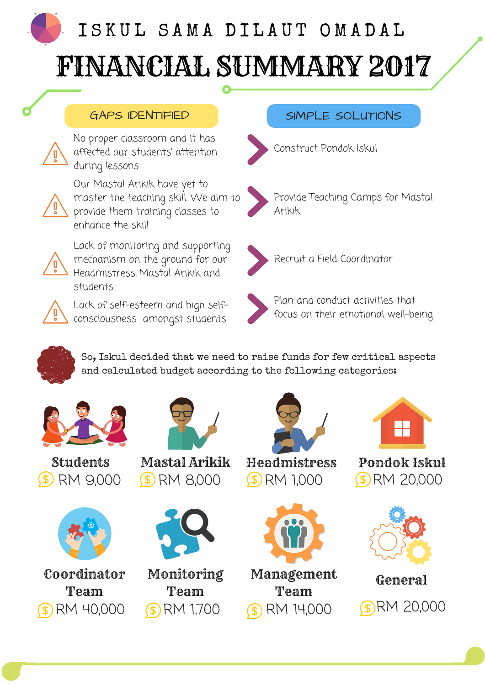# I S K U L S A M A D I L A U T O M A D A L FINANCIAL SUMMARY 2017

#### GAPS IDENTIFIED



No proper classroom and it has affected our students' attention during lessons



Our Mastal Arikik have yet to master the teaching skill. We aim to provide them training classes to enhance the skill



Lack of monitoring and supporting mechanism on the ground for our Headmistress, Mastal Arikik and students



Lack of self-esteem and high selfconsciousness amongst students

### SIMPLE SOLUTIONS



Construct Pondok Iskul





Recruit a Field Coordinator



Plan and conduct activities that focus on their emotional well-being



So, Iskul decided that we need to raise funds for few critical aspects

and calculated budget according to the following categories:



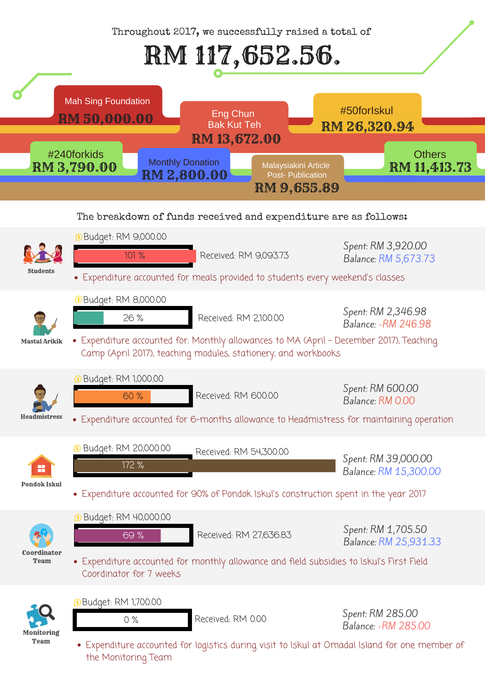Throughout 2017, we successfully raised a total of

## RM 117,652.56.

The breakdown of funds received and expenditure are as follows:







Expenditure accounted for logistics during visit to Iskul at Omadal Island for one member of the Monitoring Team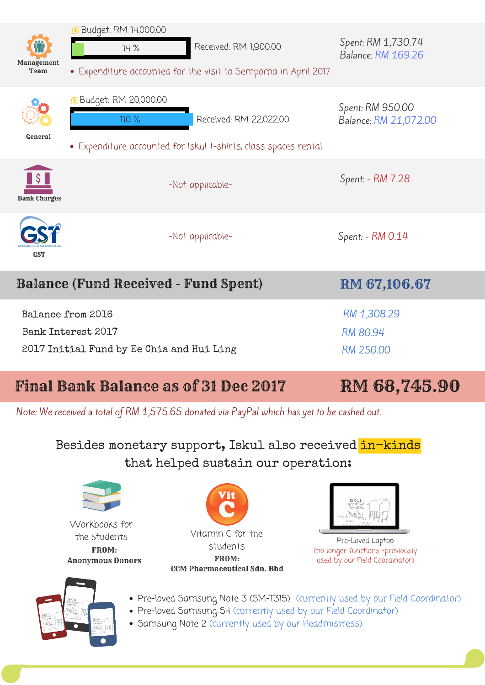## Besides monetary support, Iskul also received in-kinds that helped sustain our operation:

- Pre-loved Samsung Note 3 (SM-T315) (currently used by our Field Coordinator)
- Pre-loved Samsung S4 (currently used by our Field Coordinator)
- Samsung Note 2 (currently used by our Headmistress)



Pre-Loved Laptop (no longer functions -previously used by our Field Coordinator)





CCM Pharmaceutical Sdn. Bhd FROM: Vitamin C for the students



Workbooks for the students Anonymous Donors FROM:



## Final Bank Balance as of 31 Dec 2017 RM 68,745.90

Note: We received a total of RM 1,575.65 donated via PayPal which has yet to be cashed out.